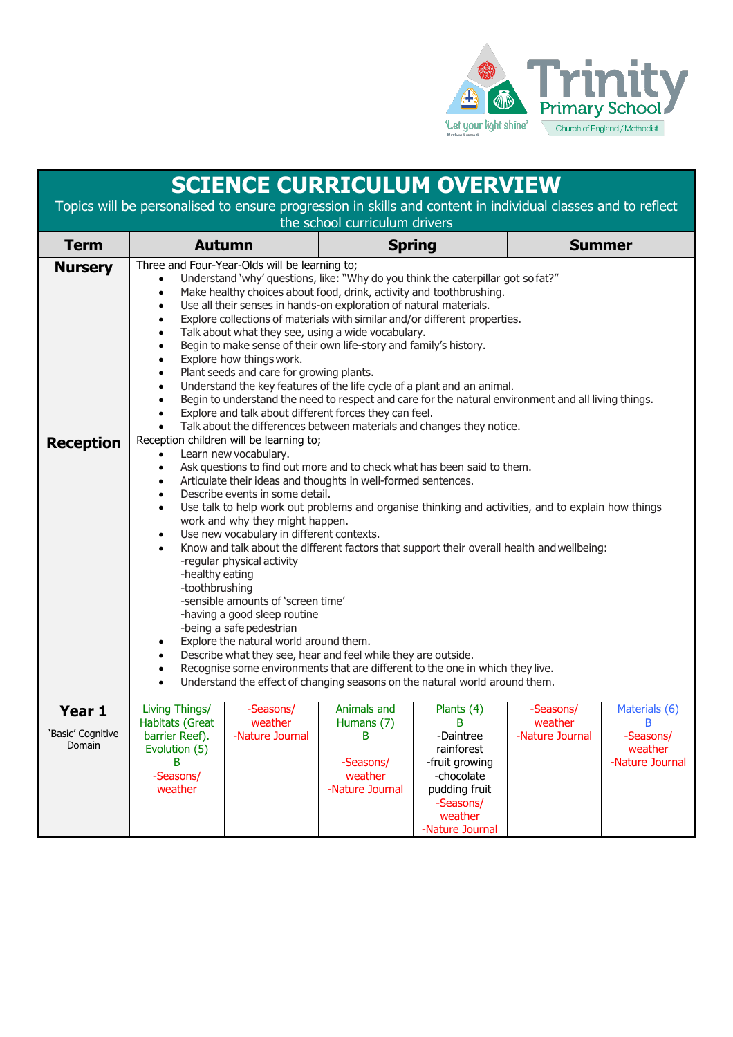

| <b>SCIENCE CURRICULUM OVERVIEW</b>                                                                                                            |                                                                                                                                                                                                                                                                                                                                                                                                                                                                                                                                                                                                                                                                                                                                                                                                                                                                                                                                                                                                                                                                                                                       |                                         |                                                                           |                                                                                                                                        |                                         |                                                                |  |  |  |  |
|-----------------------------------------------------------------------------------------------------------------------------------------------|-----------------------------------------------------------------------------------------------------------------------------------------------------------------------------------------------------------------------------------------------------------------------------------------------------------------------------------------------------------------------------------------------------------------------------------------------------------------------------------------------------------------------------------------------------------------------------------------------------------------------------------------------------------------------------------------------------------------------------------------------------------------------------------------------------------------------------------------------------------------------------------------------------------------------------------------------------------------------------------------------------------------------------------------------------------------------------------------------------------------------|-----------------------------------------|---------------------------------------------------------------------------|----------------------------------------------------------------------------------------------------------------------------------------|-----------------------------------------|----------------------------------------------------------------|--|--|--|--|
| Topics will be personalised to ensure progression in skills and content in individual classes and to reflect<br>the school curriculum drivers |                                                                                                                                                                                                                                                                                                                                                                                                                                                                                                                                                                                                                                                                                                                                                                                                                                                                                                                                                                                                                                                                                                                       |                                         |                                                                           |                                                                                                                                        |                                         |                                                                |  |  |  |  |
| <b>Term</b>                                                                                                                                   | <b>Autumn</b>                                                                                                                                                                                                                                                                                                                                                                                                                                                                                                                                                                                                                                                                                                                                                                                                                                                                                                                                                                                                                                                                                                         |                                         | <b>Spring</b>                                                             |                                                                                                                                        |                                         | <b>Summer</b>                                                  |  |  |  |  |
| <b>Nursery</b>                                                                                                                                | Three and Four-Year-Olds will be learning to;<br>Understand 'why' questions, like: "Why do you think the caterpillar got sofat?"<br>$\bullet$<br>Make healthy choices about food, drink, activity and toothbrushing.<br>$\bullet$<br>Use all their senses in hands-on exploration of natural materials.<br>$\bullet$<br>Explore collections of materials with similar and/or different properties.<br>$\bullet$<br>Talk about what they see, using a wide vocabulary.<br>$\bullet$<br>Begin to make sense of their own life-story and family's history.<br>$\bullet$<br>Explore how things work.<br>$\bullet$<br>Plant seeds and care for growing plants.<br>$\bullet$<br>Understand the key features of the life cycle of a plant and an animal.<br>$\bullet$<br>Begin to understand the need to respect and care for the natural environment and all living things.<br>$\bullet$<br>Explore and talk about different forces they can feel.<br>$\bullet$<br>Talk about the differences between materials and changes they notice.<br>$\bullet$                                                                       |                                         |                                                                           |                                                                                                                                        |                                         |                                                                |  |  |  |  |
| <b>Reception</b>                                                                                                                              | Reception children will be learning to;<br>Learn new vocabulary.<br>$\bullet$<br>Ask questions to find out more and to check what has been said to them.<br>$\bullet$<br>Articulate their ideas and thoughts in well-formed sentences.<br>$\bullet$<br>Describe events in some detail.<br>$\bullet$<br>Use talk to help work out problems and organise thinking and activities, and to explain how things<br>$\bullet$<br>work and why they might happen.<br>Use new vocabulary in different contexts.<br>$\bullet$<br>Know and talk about the different factors that support their overall health and wellbeing:<br>$\bullet$<br>-regular physical activity<br>-healthy eating<br>-toothbrushing<br>-sensible amounts of 'screen time'<br>-having a good sleep routine<br>-being a safe pedestrian<br>Explore the natural world around them.<br>$\bullet$<br>Describe what they see, hear and feel while they are outside.<br>$\bullet$<br>Recognise some environments that are different to the one in which they live.<br>$\bullet$<br>Understand the effect of changing seasons on the natural world around them. |                                         |                                                                           |                                                                                                                                        |                                         |                                                                |  |  |  |  |
| Year 1<br>'Basic' Cognitive<br>Domain                                                                                                         | Living Things/<br>Habitats (Great<br>barrier Reef).<br>Evolution (5)<br>B<br>-Seasons/<br>weather                                                                                                                                                                                                                                                                                                                                                                                                                                                                                                                                                                                                                                                                                                                                                                                                                                                                                                                                                                                                                     | -Seasons/<br>weather<br>-Nature Journal | Animals and<br>Humans (7)<br>B<br>-Seasons/<br>weather<br>-Nature Journal | Plants (4)<br>B<br>-Daintree<br>rainforest<br>-fruit growing<br>-chocolate<br>pudding fruit<br>-Seasons/<br>weather<br>-Nature Journal | -Seasons/<br>weather<br>-Nature Journal | Materials (6)<br>B.<br>-Seasons/<br>weather<br>-Nature Journal |  |  |  |  |